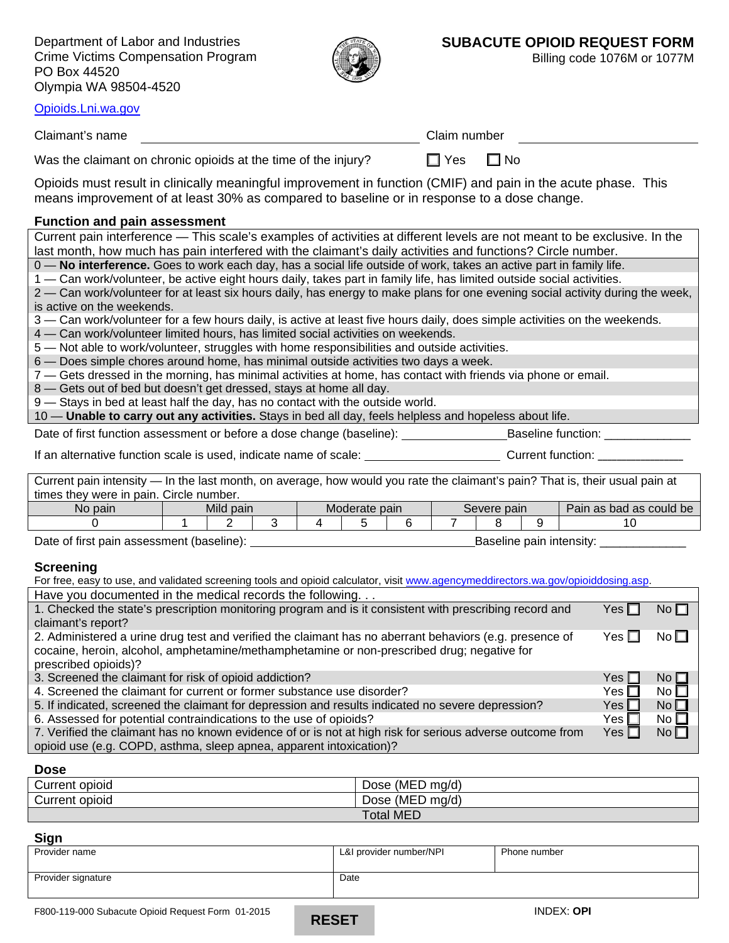Department of Labor and Industries Crime Victims Compensation Program PO Box 44520 Olympia WA 98504-4520



Billing code 1076M or 1077M

[Opioids.Lni.wa.gov](http://www.opioid.lni.wa.gov/)

Claimant's name

| ך ∨. | ⊟ங∝ |  |  |  |
|------|-----|--|--|--|

Was the claimant on chronic opioids at the time of the injury?  $\Box$  Yes  $\Box$  No

Opioids must result in clinically meaningful improvement in function (CMIF) and pain in the acute phase. This means improvement of at least 30% as compared to baseline or in response to a dose change.

#### **Function and pain assessment**

Current pain interference — This scale's examples of activities at different levels are not meant to be exclusive. In the last month, how much has pain interfered with the claimant's daily activities and functions? Circle number.

0 — **No interference.** Goes to work each day, has a social life outside of work, takes an active part in family life.

1 — Can work/volunteer, be active eight hours daily, takes part in family life, has limited outside social activities. 2 — Can work/volunteer for at least six hours daily, has energy to make plans for one evening social activity during the week,

is active on the weekends.

3 — Can work/volunteer for a few hours daily, is active at least five hours daily, does simple activities on the weekends.

4 — Can work/volunteer limited hours, has limited social activities on weekends.

5 — Not able to work/volunteer, struggles with home responsibilities and outside activities.

6 — Does simple chores around home, has minimal outside activities two days a week.

7 — Gets dressed in the morning, has minimal activities at home, has contact with friends via phone or email.

8 — Gets out of bed but doesn't get dressed, stays at home all day.

9 — Stays in bed at least half the day, has no contact with the outside world.

10 — **Unable to carry out any activities.** Stays in bed all day, feels helpless and hopeless about life.

Date of first function assessment or before a dose change (baseline): \_\_\_\_\_\_\_\_\_\_\_\_\_\_\_\_\_Baseline function: \_\_\_\_\_\_\_\_\_\_\_\_\_\_\_\_\_\_\_\_\_\_\_\_\_\_\_\_\_

If an alternative function scale is used, indicate name of scale: Current function:

Current pain intensity — In the last month, on average, how would you rate the claimant's pain? That is, their usual pain at times they were in pain. Circle number.

| No pain                                   | Mild pain |  | Moderate pain            |  |  | Severe pain |  |  | Pain as bad as could be |  |
|-------------------------------------------|-----------|--|--------------------------|--|--|-------------|--|--|-------------------------|--|
|                                           |           |  |                          |  |  |             |  |  |                         |  |
| Date of first pain assessment (baseline): |           |  | Baseline pain intensity: |  |  |             |  |  |                         |  |

**Screening**

For free, easy to use, and validated screening tools and opioid calculator, visit [www.agencymeddirectors.wa.gov/opioiddosing.asp.](http://www.agencymeddirectors.wa.gov/opioiddosing.asp) Have you documented in the medical records the following. . . 1. Checked the state's prescription monitoring program and is it consistent with prescribing record and claimant's report?  $Yes \Box No \Box$ 2. Administered a urine drug test and verified the claimant has no aberrant behaviors (e.g. presence of cocaine, heroin, alcohol, amphetamine/methamphetamine or non-prescribed drug; negative for prescribed opioids)?  $Yes \Box No \Box$ 3. Screened the claimant for risk of opioid addiction?  $\blacksquare$  Yes  $\blacksquare$  No  $\blacksquare$ 

| 4. Screened the claimant for current or former substance use disorder?                                    | Yes ∏l     | No $\Box$       |
|-----------------------------------------------------------------------------------------------------------|------------|-----------------|
| 5. If indicated, screened the claimant for depression and results indicated no severe depression?         | Yes $\Box$ | No <sub>1</sub> |
| 6. Assessed for potential contraindications to the use of opioids?                                        | Yes ∏l     | No $\Box$       |
| 7. Verified the claimant has no known evidence of or is not at high risk for serious adverse outcome from | $Yes \Box$ | No <sub>l</sub> |

7. Verified the claimant has no known evidence of or is not at high risk for serious adverse outcome from opioid use (e.g. COPD, asthma, sleep apnea, apparent intoxication)?

### **Dose**

| Current opioid | $(MED \text{mq/d})$<br>Dose |
|----------------|-----------------------------|
| Current opioid | $(MED$ mg/d)<br>Dose        |
|                | <b>Total MED</b>            |

### **Sign**

| - - - - -          |                         |              |
|--------------------|-------------------------|--------------|
| Provider name      | L&I provider number/NPI | Phone number |
| Provider signature | Date                    |              |